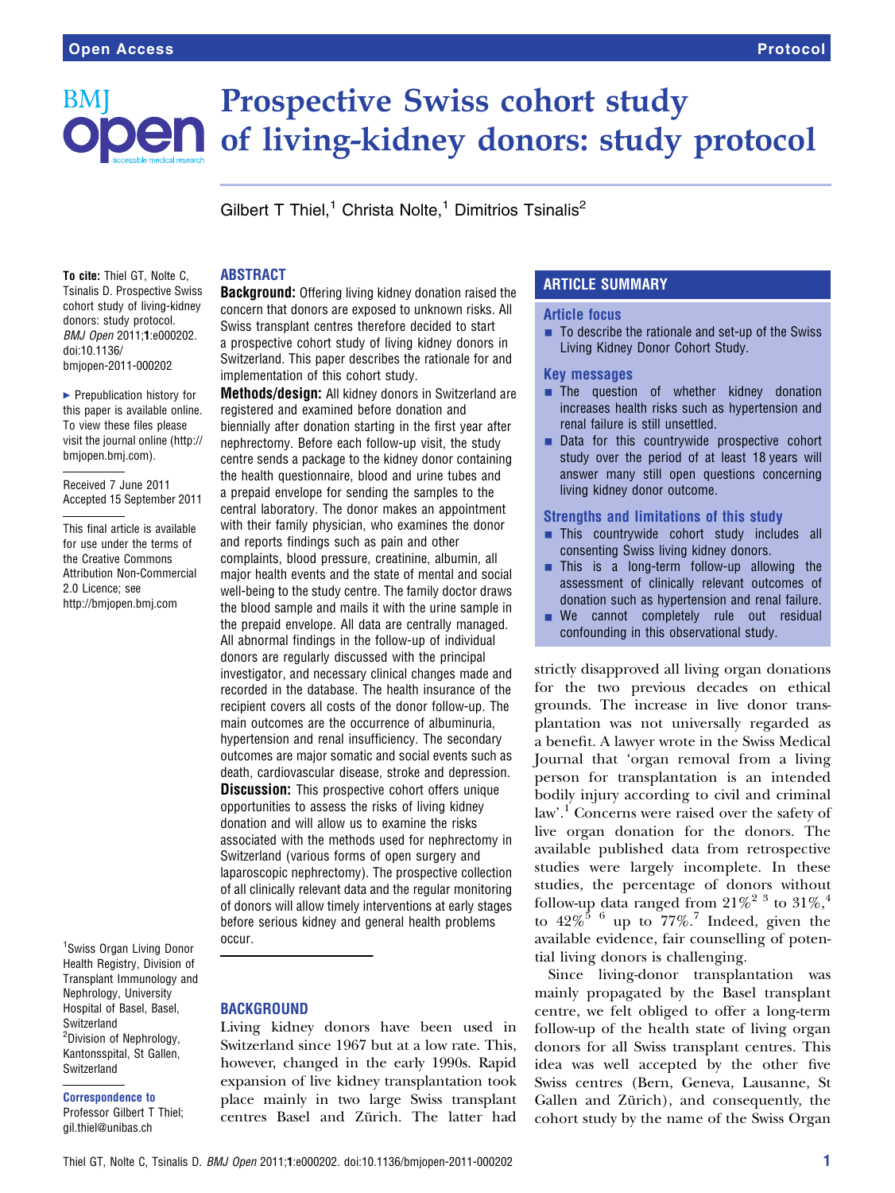# Prospective Swiss cohort study BMI **en** of living-kidney donors: study protocol

Gilbert T Thiel,<sup>1</sup> Christa Nolte,<sup>1</sup> Dimitrios Tsinalis<sup>2</sup>

To cite: Thiel GT, Nolte C, Tsinalis D. Prospective Swiss cohort study of living-kidney donors: study protocol. BMJ Open 2011;1:e000202. doi:10.1136/ bmjopen-2011-000202

**Prepublication history for** this paper is available online. To view these files please visit the journal online (http:// bmjopen.bmj.com).

Received 7 June 2011 Accepted 15 September 2011

This final article is available for use under the terms of the Creative Commons Attribution Non-Commercial 2.0 Licence; see http://bmjopen.bmj.com

<sup>1</sup>Swiss Organ Living Donor Health Registry, Division of Transplant Immunology and Nephrology, University Hospital of Basel, Basel, Switzerland <sup>2</sup>Division of Nephrology, Kantonsspital, St Gallen, Switzerland

# Correspondence to

Professor Gilbert T Thiel; gil.thiel@unibas.ch

# ABSTRACT

**Background:** Offering living kidney donation raised the concern that donors are exposed to unknown risks. All Swiss transplant centres therefore decided to start a prospective cohort study of living kidney donors in Switzerland. This paper describes the rationale for and implementation of this cohort study.

**Methods/design:** All kidney donors in Switzerland are registered and examined before donation and biennially after donation starting in the first year after nephrectomy. Before each follow-up visit, the study centre sends a package to the kidney donor containing the health questionnaire, blood and urine tubes and a prepaid envelope for sending the samples to the central laboratory. The donor makes an appointment with their family physician, who examines the donor and reports findings such as pain and other complaints, blood pressure, creatinine, albumin, all major health events and the state of mental and social well-being to the study centre. The family doctor draws the blood sample and mails it with the urine sample in the prepaid envelope. All data are centrally managed. All abnormal findings in the follow-up of individual donors are regularly discussed with the principal investigator, and necessary clinical changes made and recorded in the database. The health insurance of the recipient covers all costs of the donor follow-up. The main outcomes are the occurrence of albuminuria, hypertension and renal insufficiency. The secondary outcomes are major somatic and social events such as death, cardiovascular disease, stroke and depression. **Discussion:** This prospective cohort offers unique opportunities to assess the risks of living kidney donation and will allow us to examine the risks associated with the methods used for nephrectomy in Switzerland (various forms of open surgery and laparoscopic nephrectomy). The prospective collection of all clinically relevant data and the regular monitoring of donors will allow timely interventions at early stages before serious kidney and general health problems occur.

## **BACKGROUND**

Living kidney donors have been used in Switzerland since 1967 but at a low rate. This, however, changed in the early 1990s. Rapid expansion of live kidney transplantation took place mainly in two large Swiss transplant centres Basel and Zürich. The latter had

# ARTICLE SUMMARY

#### Article focus

 $\blacksquare$  To describe the rationale and set-up of the Swiss Living Kidney Donor Cohort Study.

#### Key messages

- **The question of whether kidney donation** increases health risks such as hypertension and renal failure is still unsettled.
- **Data for this countrywide prospective cohort** study over the period of at least 18 years will answer many still open questions concerning living kidney donor outcome.

#### Strengths and limitations of this study

- This countrywide cohort study includes all consenting Swiss living kidney donors.
- **This is a long-term follow-up allowing the** assessment of clinically relevant outcomes of donation such as hypertension and renal failure.
- **We cannot completely rule out residual** confounding in this observational study.

strictly disapproved all living organ donations for the two previous decades on ethical grounds. The increase in live donor transplantation was not universally regarded as a benefit. A lawyer wrote in the Swiss Medical Journal that 'organ removal from a living person for transplantation is an intended bodily injury according to civil and criminal law'.<sup>1</sup> Concerns were raised over the safety of live organ donation for the donors. The available published data from retrospective studies were largely incomplete. In these studies, the percentage of donors without follow-up data ranged from  $21\%^{2}$  3 to  $31\%$ ,<sup>4</sup> to  $42\%$ <sup>5 6</sup> up to 77%.<sup>7</sup> Indeed, given the available evidence, fair counselling of potential living donors is challenging.

Since living-donor transplantation was mainly propagated by the Basel transplant centre, we felt obliged to offer a long-term follow-up of the health state of living organ donors for all Swiss transplant centres. This idea was well accepted by the other five Swiss centres (Bern, Geneva, Lausanne, St Gallen and Zürich), and consequently, the cohort study by the name of the Swiss Organ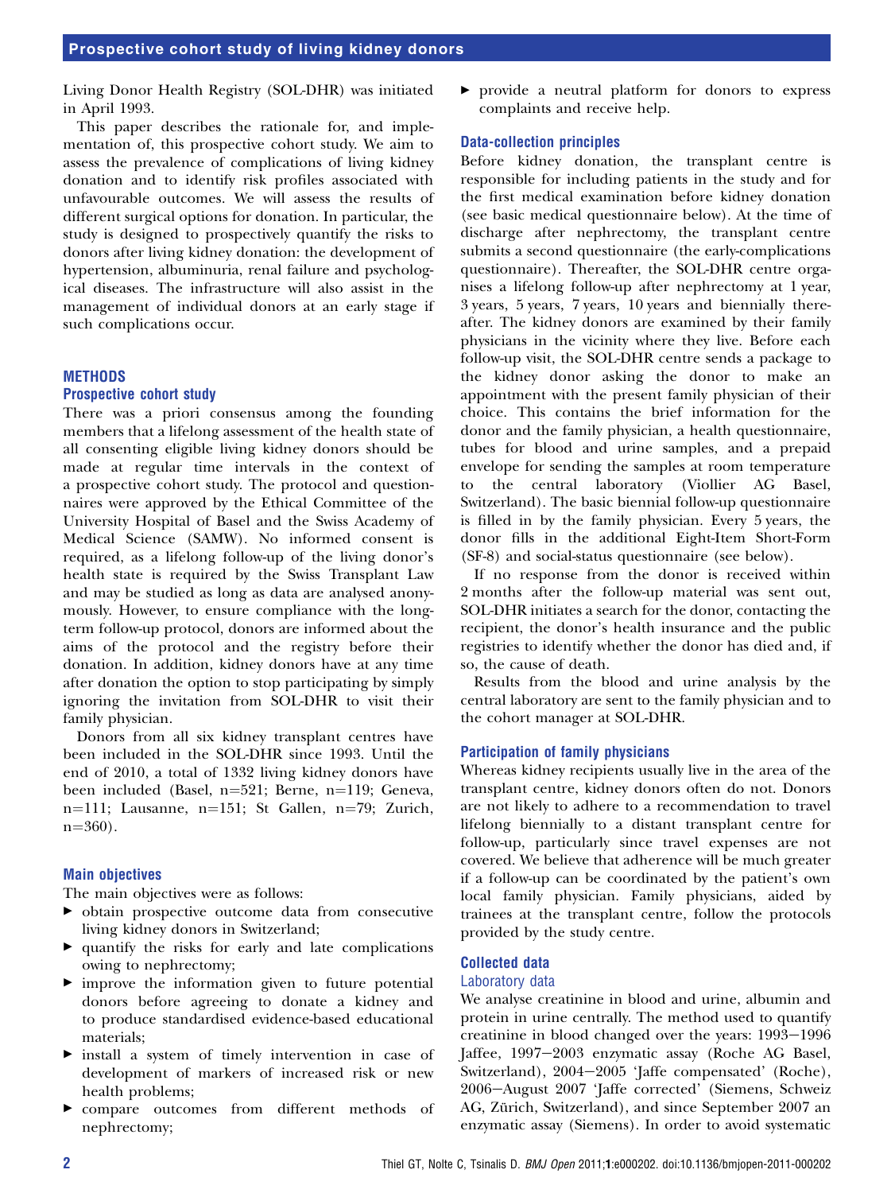Living Donor Health Registry (SOL-DHR) was initiated in April 1993.

This paper describes the rationale for, and implementation of, this prospective cohort study. We aim to assess the prevalence of complications of living kidney donation and to identify risk profiles associated with unfavourable outcomes. We will assess the results of different surgical options for donation. In particular, the study is designed to prospectively quantify the risks to donors after living kidney donation: the development of hypertension, albuminuria, renal failure and psychological diseases. The infrastructure will also assist in the management of individual donors at an early stage if such complications occur.

#### METHODS

#### Prospective cohort study

There was a priori consensus among the founding members that a lifelong assessment of the health state of all consenting eligible living kidney donors should be made at regular time intervals in the context of a prospective cohort study. The protocol and questionnaires were approved by the Ethical Committee of the University Hospital of Basel and the Swiss Academy of Medical Science (SAMW). No informed consent is required, as a lifelong follow-up of the living donor's health state is required by the Swiss Transplant Law and may be studied as long as data are analysed anonymously. However, to ensure compliance with the longterm follow-up protocol, donors are informed about the aims of the protocol and the registry before their donation. In addition, kidney donors have at any time after donation the option to stop participating by simply ignoring the invitation from SOL-DHR to visit their family physician.

Donors from all six kidney transplant centres have been included in the SOL-DHR since 1993. Until the end of 2010, a total of 1332 living kidney donors have been included (Basel, n=521; Berne, n=119; Geneva, n=111; Lausanne, n=151; St Gallen, n=79; Zurich,  $n=360$ ).

#### Main objectives

The main objectives were as follows:

- $\blacktriangleright$  obtain prospective outcome data from consecutive living kidney donors in Switzerland;
- $\blacktriangleright$  quantify the risks for early and late complications owing to nephrectomy;
- $\blacktriangleright$  improve the information given to future potential donors before agreeing to donate a kidney and to produce standardised evidence-based educational materials;
- $\blacktriangleright$  install a system of timely intervention in case of development of markers of increased risk or new health problems;
- < compare outcomes from different methods of nephrectomy;

< provide a neutral platform for donors to express complaints and receive help.

#### Data-collection principles

Before kidney donation, the transplant centre is responsible for including patients in the study and for the first medical examination before kidney donation (see basic medical questionnaire below). At the time of discharge after nephrectomy, the transplant centre submits a second questionnaire (the early-complications questionnaire). Thereafter, the SOL-DHR centre organises a lifelong follow-up after nephrectomy at 1 year, 3 years, 5 years, 7 years, 10 years and biennially thereafter. The kidney donors are examined by their family physicians in the vicinity where they live. Before each follow-up visit, the SOL-DHR centre sends a package to the kidney donor asking the donor to make an appointment with the present family physician of their choice. This contains the brief information for the donor and the family physician, a health questionnaire, tubes for blood and urine samples, and a prepaid envelope for sending the samples at room temperature to the central laboratory (Viollier AG Basel, Switzerland). The basic biennial follow-up questionnaire is filled in by the family physician. Every 5 years, the donor fills in the additional Eight-Item Short-Form (SF-8) and social-status questionnaire (see below).

If no response from the donor is received within 2 months after the follow-up material was sent out, SOL-DHR initiates a search for the donor, contacting the recipient, the donor's health insurance and the public registries to identify whether the donor has died and, if so, the cause of death.

Results from the blood and urine analysis by the central laboratory are sent to the family physician and to the cohort manager at SOL-DHR.

#### Participation of family physicians

Whereas kidney recipients usually live in the area of the transplant centre, kidney donors often do not. Donors are not likely to adhere to a recommendation to travel lifelong biennially to a distant transplant centre for follow-up, particularly since travel expenses are not covered. We believe that adherence will be much greater if a follow-up can be coordinated by the patient's own local family physician. Family physicians, aided by trainees at the transplant centre, follow the protocols provided by the study centre.

#### Collected data

#### Laboratory data

We analyse creatinine in blood and urine, albumin and protein in urine centrally. The method used to quantify creatinine in blood changed over the years:  $1993-1996$ Jaffee, 1997-2003 enzymatic assay (Roche AG Basel, Switzerland), 2004-2005 'Jaffe compensated' (Roche), 2006-August 2007 'Jaffe corrected' (Siemens, Schweiz AG, Zürich, Switzerland), and since September 2007 an enzymatic assay (Siemens). In order to avoid systematic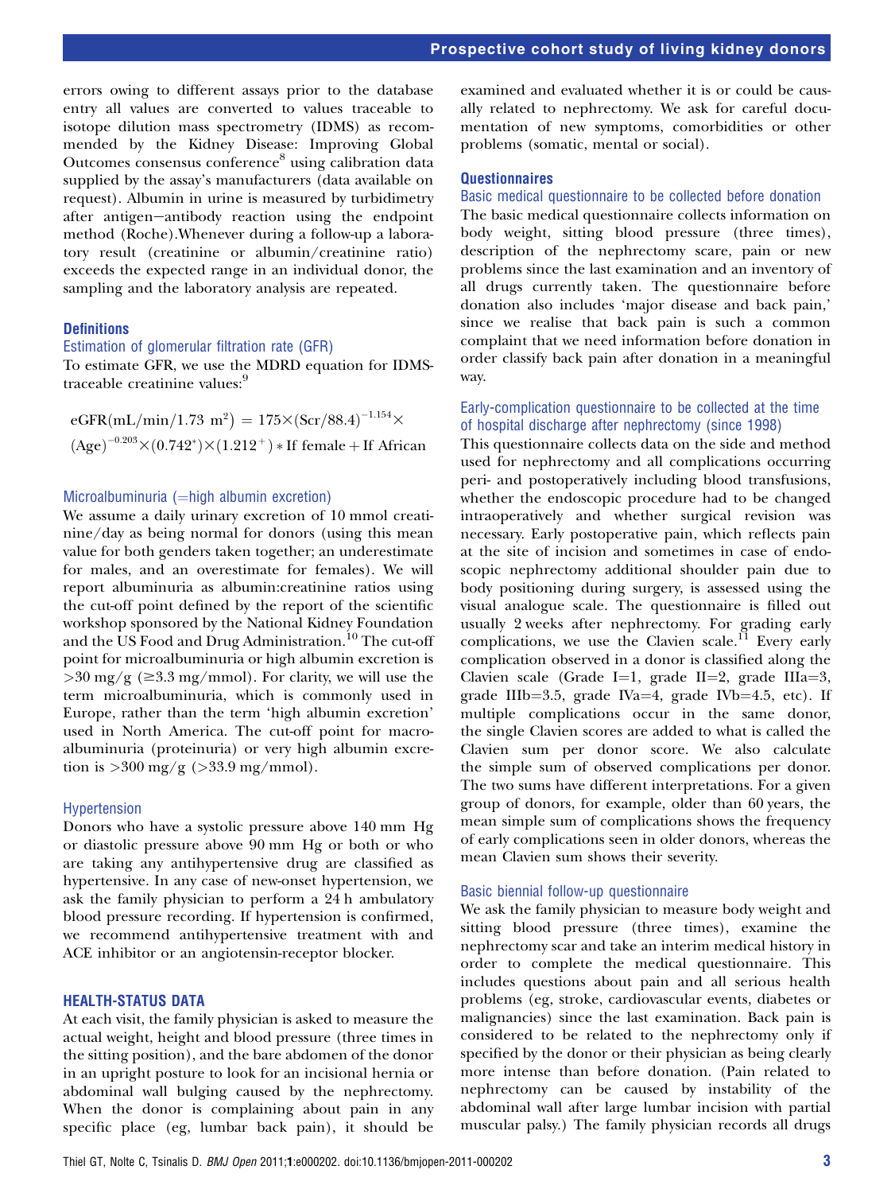errors owing to different assays prior to the database entry all values are converted to values traceable to isotope dilution mass spectrometry (IDMS) as recommended by the Kidney Disease: Improving Global Outcomes consensus conference<sup>8</sup> using calibration data supplied by the assay's manufacturers (data available on request). Albumin in urine is measured by turbidimetry after antigen-antibody reaction using the endpoint method (Roche).Whenever during a follow-up a laboratory result (creatinine or albumin/creatinine ratio) exceeds the expected range in an individual donor, the sampling and the laboratory analysis are repeated.

#### **Definitions**

#### Estimation of glomerular filtration rate (GFR)

To estimate GFR, we use the MDRD equation for IDMStraceable creatinine values:<sup>9</sup>

eGFR(mL/min/1.73 m<sup>2</sup>) = 
$$
175 \times (\text{Scr}/88.4)^{-1.154} \times
$$
  
(Age)<sup>-0.203</sup> $\times (0.742^*) \times (1.212^+) * \text{If female} + \text{If African}$ 

#### Microalbuminuria ( $=$ high albumin excretion)

We assume a daily urinary excretion of 10 mmol creatinine/day as being normal for donors (using this mean value for both genders taken together; an underestimate for males, and an overestimate for females). We will report albuminuria as albumin:creatinine ratios using the cut-off point defined by the report of the scientific workshop sponsored by the National Kidney Foundation and the US Food and Drug Administration.<sup>10</sup> The cut-off point for microalbuminuria or high albumin excretion is  $>30$  mg/g ( $\geq 3.3$  mg/mmol). For clarity, we will use the term microalbuminuria, which is commonly used in Europe, rather than the term 'high albumin excretion' used in North America. The cut-off point for macroalbuminuria (proteinuria) or very high albumin excretion is  $>300$  mg/g ( $>33.9$  mg/mmol).

#### Hypertension

Donors who have a systolic pressure above 140 mm Hg or diastolic pressure above 90 mm Hg or both or who are taking any antihypertensive drug are classified as hypertensive. In any case of new-onset hypertension, we ask the family physician to perform a 24 h ambulatory blood pressure recording. If hypertension is confirmed, we recommend antihypertensive treatment with and ACE inhibitor or an angiotensin-receptor blocker.

#### HEALTH-STATUS DATA

At each visit, the family physician is asked to measure the actual weight, height and blood pressure (three times in the sitting position), and the bare abdomen of the donor in an upright posture to look for an incisional hernia or abdominal wall bulging caused by the nephrectomy. When the donor is complaining about pain in any specific place (eg, lumbar back pain), it should be

examined and evaluated whether it is or could be causally related to nephrectomy. We ask for careful documentation of new symptoms, comorbidities or other problems (somatic, mental or social).

#### **Questionnaires**

#### Basic medical questionnaire to be collected before donation

The basic medical questionnaire collects information on body weight, sitting blood pressure (three times), description of the nephrectomy scare, pain or new problems since the last examination and an inventory of all drugs currently taken. The questionnaire before donation also includes 'major disease and back pain,' since we realise that back pain is such a common complaint that we need information before donation in order classify back pain after donation in a meaningful way.

### Early-complication questionnaire to be collected at the time of hospital discharge after nephrectomy (since 1998)

This questionnaire collects data on the side and method used for nephrectomy and all complications occurring peri- and postoperatively including blood transfusions, whether the endoscopic procedure had to be changed intraoperatively and whether surgical revision was necessary. Early postoperative pain, which reflects pain at the site of incision and sometimes in case of endoscopic nephrectomy additional shoulder pain due to body positioning during surgery, is assessed using the visual analogue scale. The questionnaire is filled out usually 2 weeks after nephrectomy. For grading early complications, we use the Clavien scale.<sup>11</sup> Every early complication observed in a donor is classified along the Clavien scale (Grade I $=1$ , grade II $=2$ , grade IIIa $=3$ , grade IIIb=3.5, grade IVa=4, grade IVb=4.5, etc). If multiple complications occur in the same donor, the single Clavien scores are added to what is called the Clavien sum per donor score. We also calculate the simple sum of observed complications per donor. The two sums have different interpretations. For a given group of donors, for example, older than 60 years, the mean simple sum of complications shows the frequency of early complications seen in older donors, whereas the mean Clavien sum shows their severity.

#### Basic biennial follow-up questionnaire

We ask the family physician to measure body weight and sitting blood pressure (three times), examine the nephrectomy scar and take an interim medical history in order to complete the medical questionnaire. This includes questions about pain and all serious health problems (eg, stroke, cardiovascular events, diabetes or malignancies) since the last examination. Back pain is considered to be related to the nephrectomy only if specified by the donor or their physician as being clearly more intense than before donation. (Pain related to nephrectomy can be caused by instability of the abdominal wall after large lumbar incision with partial muscular palsy.) The family physician records all drugs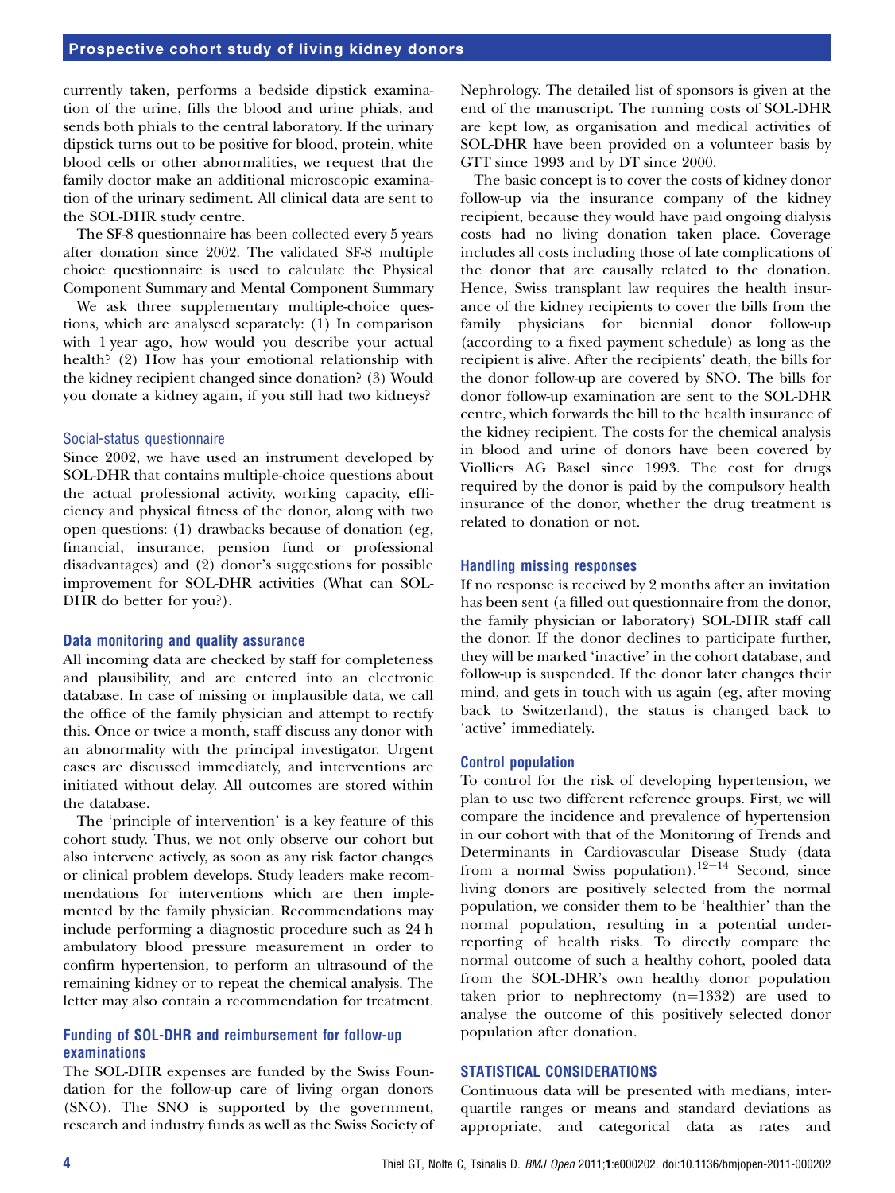currently taken, performs a bedside dipstick examination of the urine, fills the blood and urine phials, and sends both phials to the central laboratory. If the urinary dipstick turns out to be positive for blood, protein, white blood cells or other abnormalities, we request that the family doctor make an additional microscopic examination of the urinary sediment. All clinical data are sent to the SOL-DHR study centre.

The SF-8 questionnaire has been collected every 5 years after donation since 2002. The validated SF-8 multiple choice questionnaire is used to calculate the Physical Component Summary and Mental Component Summary

We ask three supplementary multiple-choice questions, which are analysed separately: (1) In comparison with 1 year ago, how would you describe your actual health? (2) How has your emotional relationship with the kidney recipient changed since donation? (3) Would you donate a kidney again, if you still had two kidneys?

#### Social-status questionnaire

Since 2002, we have used an instrument developed by SOL-DHR that contains multiple-choice questions about the actual professional activity, working capacity, efficiency and physical fitness of the donor, along with two open questions: (1) drawbacks because of donation (eg, financial, insurance, pension fund or professional disadvantages) and (2) donor's suggestions for possible improvement for SOL-DHR activities (What can SOL-DHR do better for you?).

#### Data monitoring and quality assurance

All incoming data are checked by staff for completeness and plausibility, and are entered into an electronic database. In case of missing or implausible data, we call the office of the family physician and attempt to rectify this. Once or twice a month, staff discuss any donor with an abnormality with the principal investigator. Urgent cases are discussed immediately, and interventions are initiated without delay. All outcomes are stored within the database.

The 'principle of intervention' is a key feature of this cohort study. Thus, we not only observe our cohort but also intervene actively, as soon as any risk factor changes or clinical problem develops. Study leaders make recommendations for interventions which are then implemented by the family physician. Recommendations may include performing a diagnostic procedure such as 24 h ambulatory blood pressure measurement in order to confirm hypertension, to perform an ultrasound of the remaining kidney or to repeat the chemical analysis. The letter may also contain a recommendation for treatment.

### Funding of SOL-DHR and reimbursement for follow-up examinations

The SOL-DHR expenses are funded by the Swiss Foundation for the follow-up care of living organ donors (SNO). The SNO is supported by the government, research and industry funds as well as the Swiss Society of

Nephrology. The detailed list of sponsors is given at the end of the manuscript. The running costs of SOL-DHR are kept low, as organisation and medical activities of SOL-DHR have been provided on a volunteer basis by GTT since 1993 and by DT since 2000.

The basic concept is to cover the costs of kidney donor follow-up via the insurance company of the kidney recipient, because they would have paid ongoing dialysis costs had no living donation taken place. Coverage includes all costs including those of late complications of the donor that are causally related to the donation. Hence, Swiss transplant law requires the health insurance of the kidney recipients to cover the bills from the family physicians for biennial donor follow-up (according to a fixed payment schedule) as long as the recipient is alive. After the recipients' death, the bills for the donor follow-up are covered by SNO. The bills for donor follow-up examination are sent to the SOL-DHR centre, which forwards the bill to the health insurance of the kidney recipient. The costs for the chemical analysis in blood and urine of donors have been covered by Violliers AG Basel since 1993. The cost for drugs required by the donor is paid by the compulsory health insurance of the donor, whether the drug treatment is related to donation or not.

#### Handling missing responses

If no response is received by 2 months after an invitation has been sent (a filled out questionnaire from the donor, the family physician or laboratory) SOL-DHR staff call the donor. If the donor declines to participate further, they will be marked 'inactive' in the cohort database, and follow-up is suspended. If the donor later changes their mind, and gets in touch with us again (eg, after moving back to Switzerland), the status is changed back to 'active' immediately.

#### Control population

To control for the risk of developing hypertension, we plan to use two different reference groups. First, we will compare the incidence and prevalence of hypertension in our cohort with that of the Monitoring of Trends and Determinants in Cardiovascular Disease Study (data from a normal Swiss population).<sup>12-14</sup> Second, since living donors are positively selected from the normal population, we consider them to be 'healthier' than the normal population, resulting in a potential underreporting of health risks. To directly compare the normal outcome of such a healthy cohort, pooled data from the SOL-DHR's own healthy donor population taken prior to nephrectomy  $(n=1332)$  are used to analyse the outcome of this positively selected donor population after donation.

#### STATISTICAL CONSIDERATIONS

Continuous data will be presented with medians, interquartile ranges or means and standard deviations as appropriate, and categorical data as rates and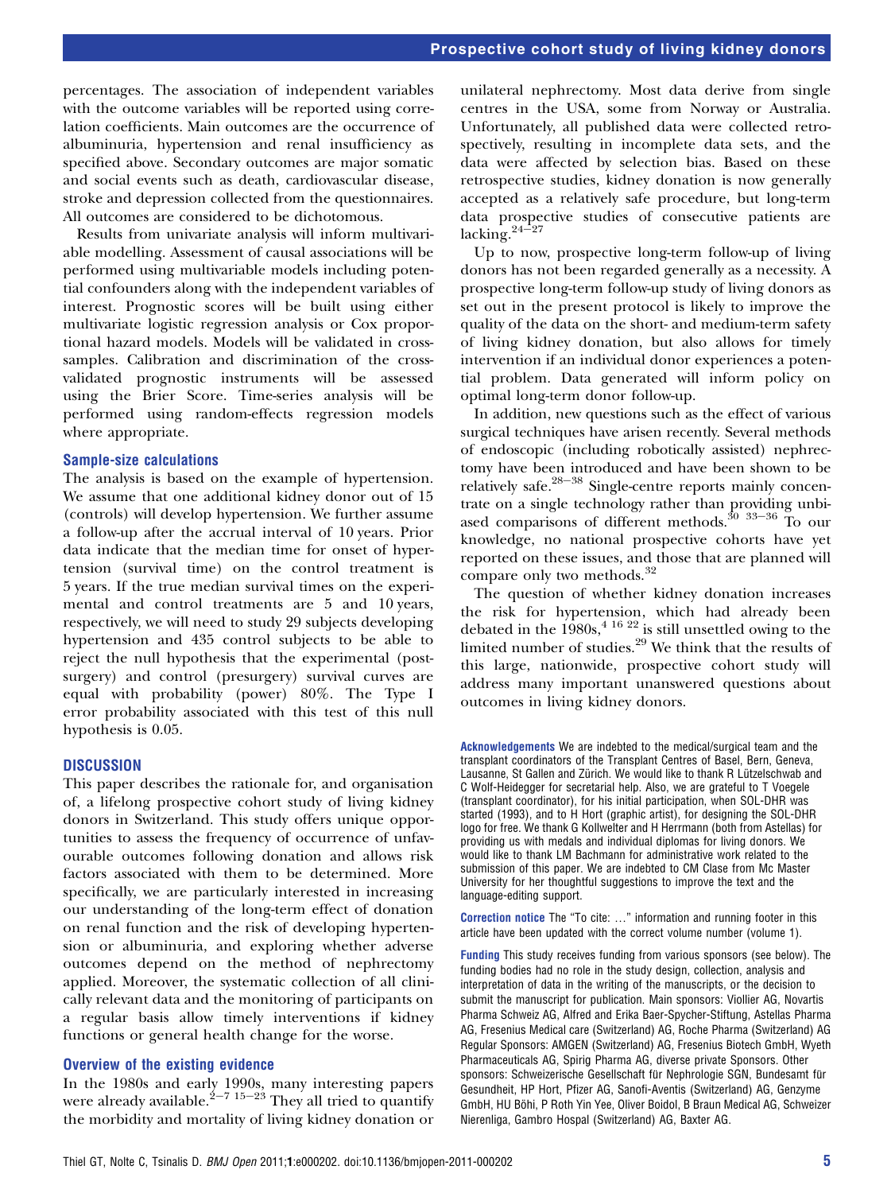percentages. The association of independent variables with the outcome variables will be reported using correlation coefficients. Main outcomes are the occurrence of albuminuria, hypertension and renal insufficiency as specified above. Secondary outcomes are major somatic and social events such as death, cardiovascular disease, stroke and depression collected from the questionnaires. All outcomes are considered to be dichotomous.

Results from univariate analysis will inform multivariable modelling. Assessment of causal associations will be performed using multivariable models including potential confounders along with the independent variables of interest. Prognostic scores will be built using either multivariate logistic regression analysis or Cox proportional hazard models. Models will be validated in crosssamples. Calibration and discrimination of the crossvalidated prognostic instruments will be assessed using the Brier Score. Time-series analysis will be performed using random-effects regression models where appropriate.

#### Sample-size calculations

The analysis is based on the example of hypertension. We assume that one additional kidney donor out of 15 (controls) will develop hypertension. We further assume a follow-up after the accrual interval of 10 years. Prior data indicate that the median time for onset of hypertension (survival time) on the control treatment is 5 years. If the true median survival times on the experimental and control treatments are 5 and 10 years, respectively, we will need to study 29 subjects developing hypertension and 435 control subjects to be able to reject the null hypothesis that the experimental (postsurgery) and control (presurgery) survival curves are equal with probability (power) 80%. The Type I error probability associated with this test of this null hypothesis is 0.05.

#### **DISCUSSION**

This paper describes the rationale for, and organisation of, a lifelong prospective cohort study of living kidney donors in Switzerland. This study offers unique opportunities to assess the frequency of occurrence of unfavourable outcomes following donation and allows risk factors associated with them to be determined. More specifically, we are particularly interested in increasing our understanding of the long-term effect of donation on renal function and the risk of developing hypertension or albuminuria, and exploring whether adverse outcomes depend on the method of nephrectomy applied. Moreover, the systematic collection of all clinically relevant data and the monitoring of participants on a regular basis allow timely interventions if kidney functions or general health change for the worse.

#### Overview of the existing evidence

In the 1980s and early 1990s, many interesting papers were already available.<sup>2–7 15–23</sup> They all tried to quantify the morbidity and mortality of living kidney donation or

unilateral nephrectomy. Most data derive from single centres in the USA, some from Norway or Australia. Unfortunately, all published data were collected retrospectively, resulting in incomplete data sets, and the data were affected by selection bias. Based on these retrospective studies, kidney donation is now generally accepted as a relatively safe procedure, but long-term data prospective studies of consecutive patients are lacking. $24-27$ 

Up to now, prospective long-term follow-up of living donors has not been regarded generally as a necessity. A prospective long-term follow-up study of living donors as set out in the present protocol is likely to improve the quality of the data on the short- and medium-term safety of living kidney donation, but also allows for timely intervention if an individual donor experiences a potential problem. Data generated will inform policy on optimal long-term donor follow-up.

In addition, new questions such as the effect of various surgical techniques have arisen recently. Several methods of endoscopic (including robotically assisted) nephrectomy have been introduced and have been shown to be relatively safe.<sup>28–38</sup> Single-centre reports mainly concentrate on a single technology rather than providing unbiased comparisons of different methods.<sup>30</sup>  $33-36$  To our knowledge, no national prospective cohorts have yet reported on these issues, and those that are planned will compare only two methods.<sup>32</sup>

The question of whether kidney donation increases the risk for hypertension, which had already been debated in the  $1980s$ ,  $4^{16}$   $22$  is still unsettled owing to the limited number of studies.<sup>29</sup> We think that the results of this large, nationwide, prospective cohort study will address many important unanswered questions about outcomes in living kidney donors.

Acknowledgements We are indebted to the medical/surgical team and the transplant coordinators of the Transplant Centres of Basel, Bern, Geneva, Lausanne, St Gallen and Zürich. We would like to thank R Lützelschwab and C Wolf-Heidegger for secretarial help. Also, we are grateful to T Voegele (transplant coordinator), for his initial participation, when SOL-DHR was started (1993), and to H Hort (graphic artist), for designing the SOL-DHR logo for free. We thank G Kollwelter and H Herrmann (both from Astellas) for providing us with medals and individual diplomas for living donors. We would like to thank LM Bachmann for administrative work related to the submission of this paper. We are indebted to CM Clase from Mc Master University for her thoughtful suggestions to improve the text and the language-editing support.

**Correction notice** The "To cite: ..." information and running footer in this article have been updated with the correct volume number (volume 1).

Funding This study receives funding from various sponsors (see below). The funding bodies had no role in the study design, collection, analysis and interpretation of data in the writing of the manuscripts, or the decision to submit the manuscript for publication. Main sponsors: Viollier AG, Novartis Pharma Schweiz AG, Alfred and Erika Baer-Spycher-Stiftung, Astellas Pharma AG, Fresenius Medical care (Switzerland) AG, Roche Pharma (Switzerland) AG Regular Sponsors: AMGEN (Switzerland) AG, Fresenius Biotech GmbH, Wyeth Pharmaceuticals AG, Spirig Pharma AG, diverse private Sponsors. Other sponsors: Schweizerische Gesellschaft für Nephrologie SGN, Bundesamt für Gesundheit, HP Hort, Pfizer AG, Sanofi-Aventis (Switzerland) AG, Genzyme GmbH, HU Böhi, P Roth Yin Yee, Oliver Boidol, B Braun Medical AG, Schweizer Nierenliga, Gambro Hospal (Switzerland) AG, Baxter AG.